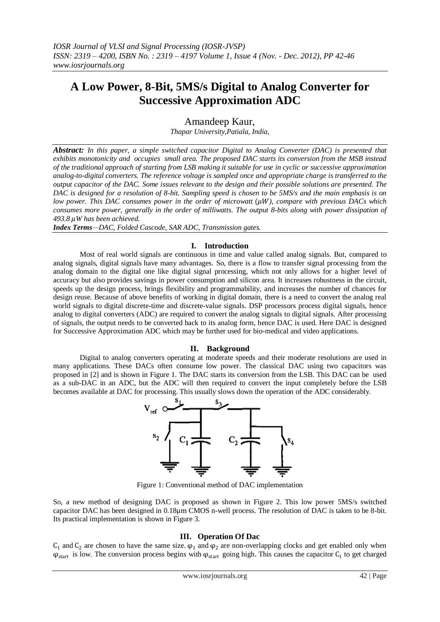# **A Low Power, 8-Bit, 5MS/s Digital to Analog Converter for Successive Approximation ADC**

Amandeep Kaur,

*Thapar University,Patiala, India,*

*Abstract: In this paper, a simple switched capacitor Digital to Analog Converter (DAC) is presented that exhibits monotonicity and occupies small area. The proposed DAC starts its conversion from the MSB instead of the traditional approach of starting from LSB making it suitable for use in cyclic or successive approximation analog-to-digital converters. The reference voltage is sampled once and appropriate charge is transferred to the output capacitor of the DAC. Some issues relevant to the design and their possible solutions are presented. The DAC is designed for a resolution of 8-bit. Sampling speed is chosen to be 5MS/s and the main emphasis is on low power. This DAC consumes power in the order of microwatt (* $\mu$ *W), compare with previous DACs which consumes more power, generally in the order of milliwatts. The output 8-bits along with power dissipation of 493.8 W has been achieved.*

*Index Terms—DAC, Folded Cascode, SAR ADC, Transmission gates.*

## **I. Introduction**

Most of real world signals are continuous in time and value called analog signals. But, compared to analog signals, digital signals have many advantages. So, there is a flow to transfer signal processing from the analog domain to the digital one like digital signal processing, which not only allows for a higher level of accuracy but also provides savings in power consumption and silicon area. It increases robustness in the circuit, speeds up the design process, brings flexibility and programmability, and increases the number of chances for design reuse. Because of above benefits of working in digital domain, there is a need to convert the analog real world signals to digital discrete-time and discrete-value signals. DSP processors process digital signals, hence analog to digital converters (ADC) are required to convert the analog signals to digital signals. After processing of signals, the output needs to be converted back to its analog form, hence DAC is used. Here DAC is designed for Successive Approximation ADC which may be further used for bio-medical and video applications.

#### **II. Background**

Digital to analog converters operating at moderate speeds and their moderate resolutions are used in many applications. These DACs often consume low power. The classical DAC using two capacitors was proposed in [2] and is shown in Figure 1. The DAC starts its conversion from the LSB. This DAC can be used as a sub-DAC in an ADC, but the ADC will then required to convert the input completely before the LSB becomes available at DAC for processing. This usually slows down the operation of the ADC considerably.



Figure 1: Conventional method of DAC implementation

So, a new method of designing DAC is proposed as shown in Figure 2. This low power 5MS/s switched capacitor DAC has been designed in 0.18μm CMOS n-well process. The resolution of DAC is taken to be 8-bit. Its practical implementation is shown in Figure 3.

## **III. Operation Of Dac**

 $C_1$  and  $C_2$  are chosen to have the same size.  $\varphi_1$  and  $\varphi_2$  are non-overlapping clocks and get enabled only when  $\varphi_{start}$  is low. The conversion process begins with  $\varphi_{start}$  going high. This causes the capacitor  $C_1$  to get charged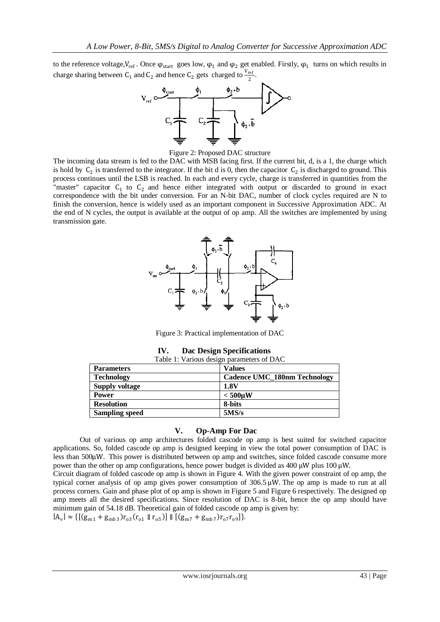to the reference voltage,  $V_{ref}$ . Once  $\varphi_{start}$  goes low,  $\varphi_1$  and  $\varphi_2$  get enabled. Firstly,  $\varphi_1$  turns on which results in charge sharing between C<sub>1</sub> and C<sub>2</sub> and hence C<sub>2</sub> gets charged to  $\frac{V_{ref}}{2}$ .



Figure 2: Proposed DAC structure

The incoming data stream is fed to the DAC with MSB facing first. If the current bit, d, is a 1, the charge which is hold by  $C_2$  is transferred to the integrator. If the bit d is 0, then the capacitor  $C_2$  is discharged to ground. This process continues until the LSB is reached. In each and every cycle, charge is transferred in quantities from the "master" capacitor  $C_1$  to  $C_2$  and hence either integrated with output or discarded to ground in exact correspondence with the bit under conversion. For an N-bit DAC, number of clock cycles required are N to finish the conversion, hence is widely used as an important component in Successive Approximation ADC. At the end of N cycles, the output is available at the output of op amp. All the switches are implemented by using transmission gate.



Figure 3: Practical implementation of DAC

| IV. | <b>Dac Design Specifications</b> |  |
|-----|----------------------------------|--|
|-----|----------------------------------|--|

| Table 1: Various design parameters of DAC |                                     |  |  |  |  |
|-------------------------------------------|-------------------------------------|--|--|--|--|
| <b>Parameters</b>                         | <b>Values</b>                       |  |  |  |  |
| <b>Technology</b>                         | <b>Cadence UMC 180nm Technology</b> |  |  |  |  |
| <b>Supply voltage</b>                     | 1.8V                                |  |  |  |  |
| <b>Power</b>                              | $<$ 500 $\mu$ W                     |  |  |  |  |
| <b>Resolution</b>                         | 8-bits                              |  |  |  |  |
| <b>Sampling speed</b>                     | 5MS/s                               |  |  |  |  |

## **V. Op-Amp For Dac**

Out of various op amp architectures folded cascode op amp is best suited for switched capacitor applications. So, folded cascode op amp is designed keeping in view the total power consumption of DAC is less than 500μW. This power is distributed between op amp and switches, since folded cascode consume more power than the other op amp configurations, hence power budget is divided as 400 μW plus 100 μW.

Circuit diagram of folded cascode op amp is shown in Figure 4. With the given power constraint of op amp, the typical corner analysis of op amp gives power consumption of 306.5 μW. The op amp is made to run at all process corners. Gain and phase plot of op amp is shown in Figure 5 and Figure 6 respectively. The designed op amp meets all the desired specifications. Since resolution of DAC is 8-bit, hence the op amp should have minimum gain of 54.18 dB. Theoretical gain of folded cascode op amp is given by:

 $|A_v| \approx \{[(g_{m1} + g_{mb3})r_{03}(r_{01} + r_{05})] \| [(g_{m7} + g_{mb7})r_{07}r_{09}]\}.$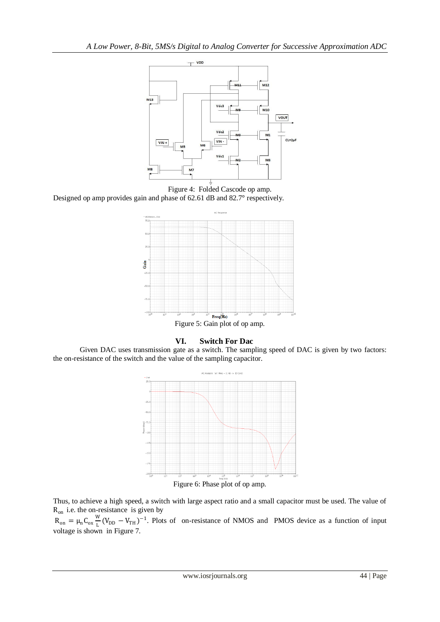

Figure 4: Folded Cascode op amp. Designed op amp provides gain and phase of 62.61 dB and 82.7° respectively.



**VI. Switch For Dac**

Given DAC uses transmission gate as a switch. The sampling speed of DAC is given by two factors: the on-resistance of the switch and the value of the sampling capacitor.



Figure 6: Phase plot of op amp.

Thus, to achieve a high speed, a switch with large aspect ratio and a small capacitor must be used. The value of  $R_{on}$  i.e. the on-resistance is given by

 $R_{on} = \mu_n C_{ox} \frac{W}{I}$  $\frac{M}{L}(V_{DD} - V_{TH})^{-1}$ . Plots of on-resistance of NMOS and PMOS device as a function of input voltage is shown in Figure 7.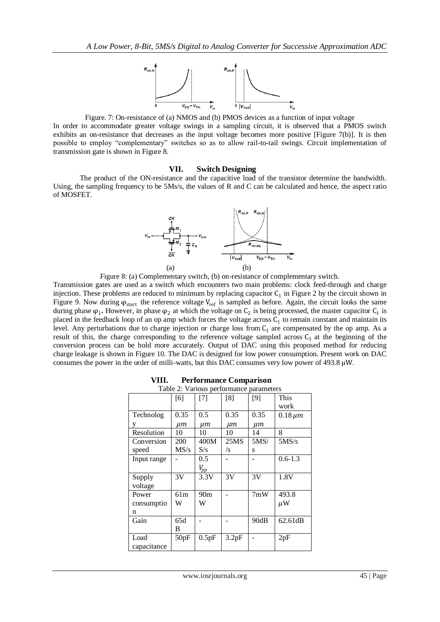

Figure. 7: On-resistance of (a) NMOS and (b) PMOS devices as a function of input voltage In order to accommodate greater voltage swings in a sampling circuit, it is observed that a PMOS switch exhibits an on-resistance that decreases as the input voltage becomes more positive [Figure 7(b)]. It is then possible to employ "complementary" switches so as to allow rail-to-tail swings. Circuit implementation of transmission gate is shown in Figure 8.

#### **VII. Switch Designing**

The product of the ON-resistance and the capacitive load of the transistor determine the bandwidth. Using, the sampling frequency to be 5Ms/s, the values of R and C can be calculated and hence, the aspect ratio of MOSFET.



Figure 8: (a) Complementary switch, (b) on-resistance of complementary switch.

Transmission gates are used as a switch which encounters two main problems: clock feed-through and charge injection. These problems are reduced to minimum by replacing capacitor  $C_1$  in Figure 2 by the circuit shown in Figure 9. Now during  $\varphi_{start}$  the reference voltage V<sub>ref</sub> is sampled as before. Again, the circuit looks the same during phase  $\varphi_1$ . However, in phase  $\varphi_2$  at which the voltage on  $C_2$  is being processed, the master capacitor  $C_1$  is placed in the feedback loop of an op amp which forces the voltage across  $C_1$  to remain constant and maintain its level. Any perturbations due to charge injection or charge loss from  $C_1$  are compensated by the op amp. As a result of this, the charge corresponding to the reference voltage sampled across  $C_1$  at the beginning of the conversion process can be hold more accurately. Output of DAC using this proposed method for reducing charge leakage is shown in Figure 10. The DAC is designed for low power consumption. Present work on DAC consumes the power in the order of milli-watts, but this DAC consumes very low power of 493.8  $\mu$ W.

| Table 2: Various performance parameters |      |               |       |      |                |  |  |
|-----------------------------------------|------|---------------|-------|------|----------------|--|--|
|                                         | [6]  | [7]           | [8]   | [9]  | This           |  |  |
|                                         |      |               |       |      | work           |  |  |
| Technolog                               | 0.35 | $0.5^{\circ}$ | 0.35  | 0.35 | $0.18 \,\mu m$ |  |  |
| у                                       | μт   | μт            | µт    | µт   |                |  |  |
| Resolution                              | 10   | 10            | 10    | 14   | 8              |  |  |
| Conversion                              | 200  | 400M          | 25MS  | 5MS/ | 5MS/s          |  |  |
| speed                                   | MS/s | S/s           | /s    | s    |                |  |  |
| Input range                             |      | 0.5           |       |      | $0.6 - 1.3$    |  |  |
|                                         |      | $V_{pp}$      |       |      |                |  |  |
| Supply                                  | 3V   | 3.3V          | 3V    | 3V   | 1.8V           |  |  |
| voltage                                 |      |               |       |      |                |  |  |
| Power                                   | 61m  | 90m           |       | 7mW  | 493.8          |  |  |
| consumptio                              | W    | W             |       |      | $\mu$ W        |  |  |
| n                                       |      |               |       |      |                |  |  |
| Gain                                    | 65d  |               |       | 90dB | 62.61dB        |  |  |
|                                         | B    |               |       |      |                |  |  |
| Load                                    | 50pF | 0.5pF         | 3.2pF |      | 2pF            |  |  |
| capacitance                             |      |               |       |      |                |  |  |

| VIII.<br><b>Performance Comparison</b> |  |
|----------------------------------------|--|
|----------------------------------------|--|